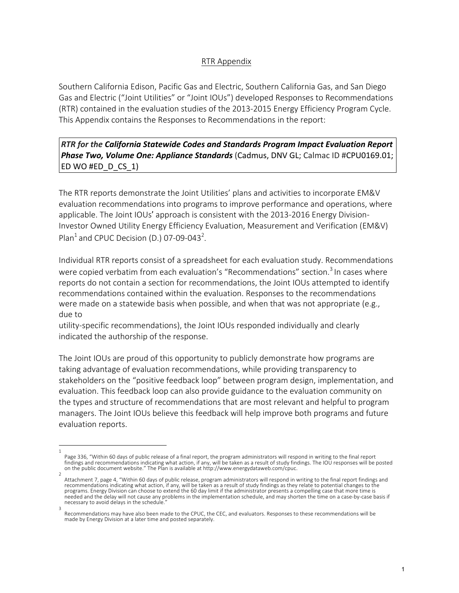## RTR Appendix

Southern California Edison, Pacific Gas and Electric, Southern California Gas, and San Diego Gas and Electric ("Joint Utilities" or "Joint IOUs") developed Responses to Recommendations (RTR) contained in the evaluation studies of the 2013-2015 Energy Efficiency Program Cycle. This Appendix contains the Responses to Recommendations in the report:

## *RTR* for the California Statewide Codes and Standards Program Impact Evaluation Report **Phase Two, Volume One: Appliance Standards** (Cadmus, DNV GL; Calmac ID #CPU0169.01; ED WO #ED D CS 1)

The RTR reports demonstrate the Joint Utilities' plans and activities to incorporate EM&V evaluation recommendations into programs to improve performance and operations, where applicable. The Joint IOUs' approach is consistent with the 2013-2016 Energy Division-Investor Owned Utility Energy Efficiency Evaluation, Measurement and Verification (EM&V) Plan<sup>1</sup> and CPUC Decision (D.) 07-09-043<sup>2</sup>.

Individual RTR reports consist of a spreadsheet for each evaluation study. Recommendations were copied verbatim from each evaluation's "Recommendations" section.<sup>3</sup> In cases where reports do not contain a section for recommendations, the Joint IOUs attempted to identify recommendations contained within the evaluation. Responses to the recommendations were made on a statewide basis when possible, and when that was not appropriate (e.g., due to

utility-specific recommendations), the Joint IOUs responded individually and clearly indicated the authorship of the response.

The Joint IOUs are proud of this opportunity to publicly demonstrate how programs are taking advantage of evaluation recommendations, while providing transparency to stakeholders on the "positive feedback loop" between program design, implementation, and evaluation. This feedback loop can also provide guidance to the evaluation community on the types and structure of recommendations that are most relevant and helpful to program managers. The Joint IOUs believe this feedback will help improve both programs and future evaluation reports.

<sup>1</sup> Page 336, "Within 60 days of public release of a final report, the program administrators will respond in writing to the final report findings and recommendations indicating what action, if any, will be taken as a result of study findings. The IOU responses will be posted on the public document website." The Plan is available at http://www.energydataweb.com/cpuc.

<sup>2</sup> Attachment 7, page 4, "Within 60 days of public release, program administrators will respond in writing to the final report findings and recommendations indicating what action, if any, will be taken as a result of study findings as they relate to potential changes to the programs. Energy Division can choose to extend the 60 day limit if the administrator presents a compelling case that more time is needed and the delay will not cause any problems in the implementation schedule, and may shorten the time on a case-by-case basis if necessary to avoid delays in the schedule.

<sup>3</sup> Recommendations may have also been made to the CPUC, the CEC, and evaluators. Responses to these recommendations will be made by Energy Division at a later time and posted separately.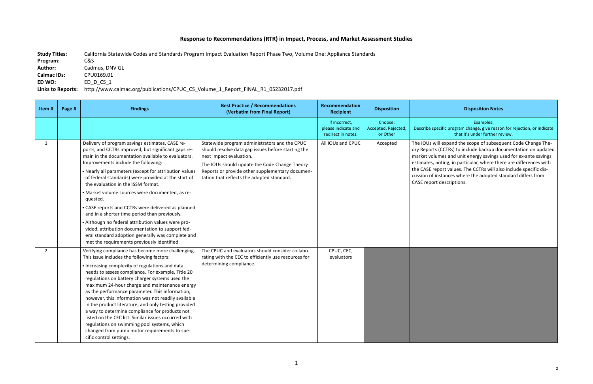## Response to Recommendations (RTR) in Impact, Process, and Market Assessment Studies

Study Titles: California Statewide Codes and Standards Program Impact Evaluation Report Phase Two, Volume One: Appliance Standards **Program:**  C&S Author: Cadmus, DNV GL **Calmac IDs:** CPU0169.01 **ED WO:** ED\_D\_CS\_1 Links to Reports: http://www.calmac.org/publications/CPUC\_CS\_Volume\_1\_Report\_FINAL\_R1\_05232017.pdf

## **Disposition Notes**

Examples: pecific program change, give reason for rejection, or indicate that it's under further review.

will expand the scope of subsequent Code Change Thets (CCTRs) to include backup documentation on updated lumes and unit energy savings used for ex-ante savings noting, in particular, where there are differences with report values. The CCTRs will also include specific disinstances where the adopted standard differs from rt descriptions.

| Item#        | Page # | <b>Findings</b>                                                                                                                                                                                                                                                                                                                                                                                                                                                                                                                                                                                                                                                                                                                                | <b>Best Practice / Recommendations</b><br>(Verbatim from Final Report)                                                                                                                                                                                                           | Recommendation<br><b>Recipient</b>                         | <b>Disposition</b>                         |                                                                                                  |
|--------------|--------|------------------------------------------------------------------------------------------------------------------------------------------------------------------------------------------------------------------------------------------------------------------------------------------------------------------------------------------------------------------------------------------------------------------------------------------------------------------------------------------------------------------------------------------------------------------------------------------------------------------------------------------------------------------------------------------------------------------------------------------------|----------------------------------------------------------------------------------------------------------------------------------------------------------------------------------------------------------------------------------------------------------------------------------|------------------------------------------------------------|--------------------------------------------|--------------------------------------------------------------------------------------------------|
|              |        |                                                                                                                                                                                                                                                                                                                                                                                                                                                                                                                                                                                                                                                                                                                                                |                                                                                                                                                                                                                                                                                  | If incorrect,<br>please indicate and<br>redirect in notes. | Choose:<br>Accepted, Rejected,<br>or Other | Describe sp                                                                                      |
| $\mathbf{1}$ |        | Delivery of program savings estimates, CASE re-<br>ports, and CCTRs improved, but significant gaps re-<br>main in the documentation available to evaluators.<br>Improvements include the following:<br>• Nearly all parameters (except for attribution values<br>of federal standards) were provided at the start of<br>the evaluation in the ISSM format.<br>· Market volume sources were documented, as re-<br>quested.<br>• CASE reports and CCTRs were delivered as planned<br>and in a shorter time period than previously.<br>• Although no federal attribution values were pro-<br>vided, attribution documentation to support fed-<br>eral standard adoption generally was complete and<br>met the requirements previously identified. | Statewide program administrators and the CPUC<br>should resolve data gap issues before starting the<br>next impact evaluation.<br>The IOUs should update the Code Change Theory<br>Reports or provide other supplementary documen-<br>tation that reflects the adopted standard. | All IOUs and CPUC                                          | Accepted                                   | The IOUs w<br>ory Report:<br>market vol<br>estimates,<br>the CASE re<br>cussion of<br>CASE repor |
| $2^{\circ}$  |        | Verifying compliance has become more challenging.<br>This issue includes the following factors:<br>• Increasing complexity of regulations and data<br>needs to assess compliance. For example, Title 20<br>regulations on battery charger systems used the<br>maximum 24-hour charge and maintenance energy<br>as the performance parameter. This information,<br>however, this information was not readily available<br>in the product literature; and only testing provided<br>a way to determine compliance for products not<br>listed on the CEC list. Similar issues occurred with<br>regulations on swimming pool systems, which<br>changed from pump motor requirements to spe-<br>cific control settings.                              | The CPUC and evaluators should consider collabo-<br>rating with the CEC to efficiently use resources for<br>determining compliance.                                                                                                                                              | CPUC, CEC,<br>evaluators                                   |                                            |                                                                                                  |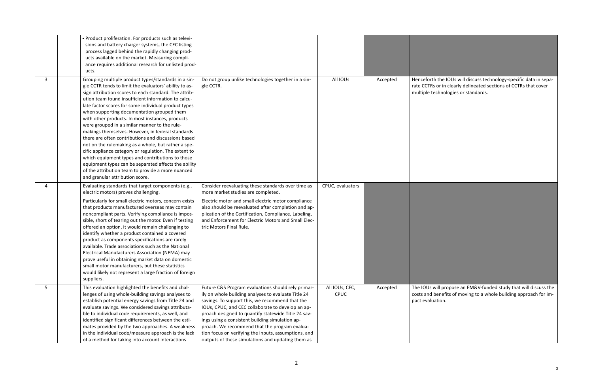All IOUs | Accepted | Henceforth the IOUs will discuss technology-specific data in separate CCTRs or in clearly delineated sections of CCTRs that cover echnologies or standards.

> will propose an EM&V-funded study that will discuss the benefits of moving to a whole building approach for imation.

|                | • Product proliferation. For products such as televi-<br>sions and battery charger systems, the CEC listing<br>process lagged behind the rapidly changing prod-<br>ucts available on the market. Measuring compli-<br>ance requires additional research for unlisted prod-<br>ucts.                                                                                                                                                                                                                                                                                                                                                                                                                                                                                                                                                                                      |                                                                                                                                                                                                                                                                                                                                                                                                                                                                                           |                               |          |                                          |
|----------------|--------------------------------------------------------------------------------------------------------------------------------------------------------------------------------------------------------------------------------------------------------------------------------------------------------------------------------------------------------------------------------------------------------------------------------------------------------------------------------------------------------------------------------------------------------------------------------------------------------------------------------------------------------------------------------------------------------------------------------------------------------------------------------------------------------------------------------------------------------------------------|-------------------------------------------------------------------------------------------------------------------------------------------------------------------------------------------------------------------------------------------------------------------------------------------------------------------------------------------------------------------------------------------------------------------------------------------------------------------------------------------|-------------------------------|----------|------------------------------------------|
| 3 <sup>1</sup> | Grouping multiple product types/standards in a sin-<br>gle CCTR tends to limit the evaluators' ability to as-<br>sign attribution scores to each standard. The attrib-<br>ution team found insufficient information to calcu-<br>late factor scores for some individual product types<br>when supporting documentation grouped them<br>with other products. In most instances, products<br>were grouped in a similar manner to the rule-<br>makings themselves. However, in federal standards<br>there are often contributions and discussions based<br>not on the rulemaking as a whole, but rather a spe-<br>cific appliance category or regulation. The extent to<br>which equipment types and contributions to those<br>equipment types can be separated affects the ability<br>of the attribution team to provide a more nuanced<br>and granular attribution score. | Do not group unlike technologies together in a sin-<br>gle CCTR.                                                                                                                                                                                                                                                                                                                                                                                                                          | All IOUs                      | Accepted | Henceforth<br>rate CCTRs<br>multiple te  |
| 4              | Evaluating standards that target components (e.g.,<br>electric motors) proves challenging.<br>Particularly for small electric motors, concern exists<br>that products manufactured overseas may contain<br>noncompliant parts. Verifying compliance is impos-<br>sible, short of tearing out the motor. Even if testing<br>offered an option, it would remain challenging to<br>identify whether a product contained a covered<br>product as components specifications are rarely<br>available. Trade associations such as the National<br>Electrical Manufacturers Association (NEMA) may<br>prove useful in obtaining market data on domestic<br>small motor manufacturers, but these statistics<br>would likely not represent a large fraction of foreign<br>suppliers.                                                                                               | Consider reevaluating these standards over time as<br>more market studies are completed.<br>Electric motor and small electric motor compliance<br>also should be reevaluated after completion and ap-<br>plication of the Certification, Compliance, Labeling,<br>and Enforcement for Electric Motors and Small Elec-<br>tric Motors Final Rule.                                                                                                                                          | CPUC, evaluators              |          |                                          |
| 5              | This evaluation highlighted the benefits and chal-<br>lenges of using whole-building savings analyses to<br>establish potential energy savings from Title 24 and<br>evaluate savings. We considered savings attributa-<br>ble to individual code requirements, as well, and<br>identified significant differences between the esti-<br>mates provided by the two approaches. A weakness<br>in the individual code/measure approach is the lack<br>of a method for taking into account interactions                                                                                                                                                                                                                                                                                                                                                                       | Future C&S Program evaluations should rely primar-<br>ily on whole building analyses to evaluate Title 24<br>savings. To support this, we recommend that the<br>IOUs, CPUC, and CEC collaborate to develop an ap-<br>proach designed to quantify statewide Title 24 sav-<br>ings using a consistent building simulation ap-<br>proach. We recommend that the program evalua-<br>tion focus on verifying the inputs, assumptions, and<br>outputs of these simulations and updating them as | All IOUs, CEC,<br><b>CPUC</b> | Accepted | The IOUs w<br>costs and b<br>pact evalua |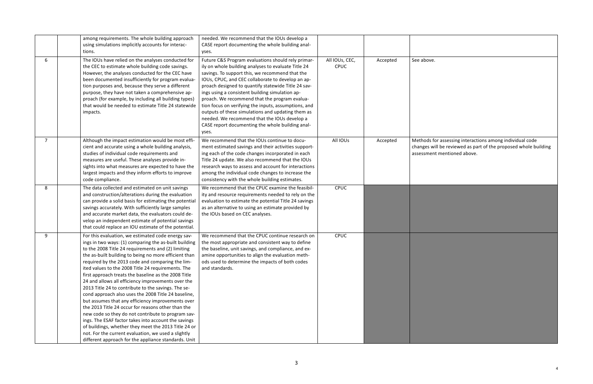for assessing interactions among individual code  $\nu$ ill be reviewed as part of the proposed whole building at mentioned above.

|                | among requirements. The whole building approach<br>using simulations implicitly accounts for interac-<br>tions.                                                                                                                                                                                                                                                                                                                                                                                                                                                                                                                                                                                                                                                                                                                                                                                                                                                  | needed. We recommend that the IOUs develop a<br>CASE report documenting the whole building anal-<br>yses.                                                                                                                                                                                                                                                                                                                                                                                                                                                                                              |                               |          |                                        |
|----------------|------------------------------------------------------------------------------------------------------------------------------------------------------------------------------------------------------------------------------------------------------------------------------------------------------------------------------------------------------------------------------------------------------------------------------------------------------------------------------------------------------------------------------------------------------------------------------------------------------------------------------------------------------------------------------------------------------------------------------------------------------------------------------------------------------------------------------------------------------------------------------------------------------------------------------------------------------------------|--------------------------------------------------------------------------------------------------------------------------------------------------------------------------------------------------------------------------------------------------------------------------------------------------------------------------------------------------------------------------------------------------------------------------------------------------------------------------------------------------------------------------------------------------------------------------------------------------------|-------------------------------|----------|----------------------------------------|
| 6              | The IOUs have relied on the analyses conducted for<br>the CEC to estimate whole building code savings.<br>However, the analyses conducted for the CEC have<br>been documented insufficiently for program evalua-<br>tion purposes and, because they serve a different<br>purpose, they have not taken a comprehensive ap-<br>proach (for example, by including all building types)<br>that would be needed to estimate Title 24 statewide<br>impacts.                                                                                                                                                                                                                                                                                                                                                                                                                                                                                                            | Future C&S Program evaluations should rely primar-<br>ily on whole building analyses to evaluate Title 24<br>savings. To support this, we recommend that the<br>IOUs, CPUC, and CEC collaborate to develop an ap-<br>proach designed to quantify statewide Title 24 sav-<br>ings using a consistent building simulation ap-<br>proach. We recommend that the program evalua-<br>tion focus on verifying the inputs, assumptions, and<br>outputs of these simulations and updating them as<br>needed. We recommend that the IOUs develop a<br>CASE report documenting the whole building anal-<br>yses. | All IOUs, CEC,<br><b>CPUC</b> | Accepted | See above.                             |
| $\overline{7}$ | Although the impact estimation would be most effi-<br>cient and accurate using a whole building analysis,<br>studies of individual code requirements and<br>measures are useful. These analyses provide in-<br>sights into what measures are expected to have the<br>largest impacts and they inform efforts to improve<br>code compliance.                                                                                                                                                                                                                                                                                                                                                                                                                                                                                                                                                                                                                      | We recommend that the IOUs continue to docu-<br>ment estimated savings and their activities support-<br>ing each of the code changes incorporated in each<br>Title 24 update. We also recommend that the IOUs<br>research ways to assess and account for interactions<br>among the individual code changes to increase the<br>consistency with the whole building estimates.                                                                                                                                                                                                                           | All IOUs                      | Accepted | Methods fo<br>changes wi<br>assessment |
| 8              | The data collected and estimated on unit savings<br>and construction/alterations during the evaluation<br>can provide a solid basis for estimating the potential<br>savings accurately. With sufficiently large samples<br>and accurate market data, the evaluators could de-<br>velop an independent estimate of potential savings<br>that could replace an IOU estimate of the potential.                                                                                                                                                                                                                                                                                                                                                                                                                                                                                                                                                                      | We recommend that the CPUC examine the feasibil-<br>ity and resource requirements needed to rely on the<br>evaluation to estimate the potential Title 24 savings<br>as an alternative to using an estimate provided by<br>the IOUs based on CEC analyses.                                                                                                                                                                                                                                                                                                                                              | <b>CPUC</b>                   |          |                                        |
| 9              | For this evaluation, we estimated code energy sav-<br>ings in two ways: (1) comparing the as-built building<br>to the 2008 Title 24 requirements and (2) limiting<br>the as-built building to being no more efficient than<br>required by the 2013 code and comparing the lim-<br>ited values to the 2008 Title 24 requirements. The<br>first approach treats the baseline as the 2008 Title<br>24 and allows all efficiency improvements over the<br>2013 Title 24 to contribute to the savings. The se-<br>cond approach also uses the 2008 Title 24 baseline,<br>but assumes that any efficiency improvements over<br>the 2013 Title 24 occur for reasons other than the<br>new code so they do not contribute to program sav-<br>ings. The ESAF factor takes into account the savings<br>of buildings, whether they meet the 2013 Title 24 or<br>not. For the current evaluation, we used a slightly<br>different approach for the appliance standards. Unit | We recommend that the CPUC continue research on<br>the most appropriate and consistent way to define<br>the baseline, unit savings, and compliance, and ex-<br>amine opportunities to align the evaluation meth-<br>ods used to determine the impacts of both codes<br>and standards.                                                                                                                                                                                                                                                                                                                  | CPUC                          |          |                                        |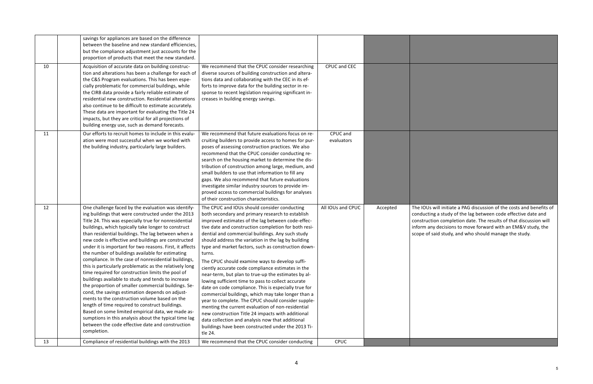s will initiate a PAG discussion of the costs and benefits of ing a study of the lag between code effective date and tion completion date. The results of that discussion will inform any decisions to move forward with an EM&V study, the scope of said study, and who should manage the study.

|    | savings for appliances are based on the difference<br>between the baseline and new standard efficiencies,<br>but the compliance adjustment just accounts for the<br>proportion of products that meet the new standard.                                                                                                                                                                                                                                                                                                                                                                                                                                                                                                                                                                                                                                                                                                                                                                                                                                                              |                                                                                                                                                                                                                                                                                                                                                                                                                                                                                                                                                                                                                                                                                                                                                                                                                                                                                                                                                                                                                  |                        |          |                                                               |
|----|-------------------------------------------------------------------------------------------------------------------------------------------------------------------------------------------------------------------------------------------------------------------------------------------------------------------------------------------------------------------------------------------------------------------------------------------------------------------------------------------------------------------------------------------------------------------------------------------------------------------------------------------------------------------------------------------------------------------------------------------------------------------------------------------------------------------------------------------------------------------------------------------------------------------------------------------------------------------------------------------------------------------------------------------------------------------------------------|------------------------------------------------------------------------------------------------------------------------------------------------------------------------------------------------------------------------------------------------------------------------------------------------------------------------------------------------------------------------------------------------------------------------------------------------------------------------------------------------------------------------------------------------------------------------------------------------------------------------------------------------------------------------------------------------------------------------------------------------------------------------------------------------------------------------------------------------------------------------------------------------------------------------------------------------------------------------------------------------------------------|------------------------|----------|---------------------------------------------------------------|
| 10 | Acquisition of accurate data on building construc-<br>tion and alterations has been a challenge for each of<br>the C&S Program evaluations. This has been espe-<br>cially problematic for commercial buildings, while<br>the CIRB data provide a fairly reliable estimate of<br>residential new construction. Residential alterations<br>also continue to be difficult to estimate accurately.<br>These data are important for evaluating the Title 24<br>impacts, but they are critical for all projections of<br>building energy use, such as demand forecasts.                                                                                                                                                                                                                                                                                                                                                                                                                                                                                                                   | We recommend that the CPUC consider researching<br>diverse sources of building construction and altera-<br>tions data and collaborating with the CEC in its ef-<br>forts to improve data for the building sector in re-<br>sponse to recent legislation requiring significant in-<br>creases in building energy savings.                                                                                                                                                                                                                                                                                                                                                                                                                                                                                                                                                                                                                                                                                         | CPUC and CEC           |          |                                                               |
| 11 | Our efforts to recruit homes to include in this evalu-<br>ation were most successful when we worked with<br>the building industry, particularly large builders.                                                                                                                                                                                                                                                                                                                                                                                                                                                                                                                                                                                                                                                                                                                                                                                                                                                                                                                     | We recommend that future evaluations focus on re-<br>cruiting builders to provide access to homes for pur-<br>poses of assessing construction practices. We also<br>recommend that the CPUC consider conducting re-<br>search on the housing market to determine the dis-<br>tribution of construction among large, medium, and<br>small builders to use that information to fill any<br>gaps. We also recommend that future evaluations<br>investigate similar industry sources to provide im-<br>proved access to commercial buildings for analyses<br>of their construction characteristics.                                                                                                                                                                                                                                                                                                                                                                                                                  | CPUC and<br>evaluators |          |                                                               |
| 12 | One challenge faced by the evaluation was identify-<br>ing buildings that were constructed under the 2013<br>Title 24. This was especially true for nonresidential<br>buildings, which typically take longer to construct<br>than residential buildings. The lag between when a<br>new code is effective and buildings are constructed<br>under it is important for two reasons. First, it affects<br>the number of buildings available for estimating<br>compliance. In the case of nonresidential buildings,<br>this is particularly problematic as the relatively long<br>time required for construction limits the pool of<br>buildings available to study and tends to increase<br>the proportion of smaller commercial buildings. Se-<br>cond, the savings estimation depends on adjust-<br>ments to the construction volume based on the<br>length of time required to construct buildings.<br>Based on some limited empirical data, we made as-<br>sumptions in this analysis about the typical time lag<br>between the code effective date and construction<br>completion. | The CPUC and IOUs should consider conducting<br>both secondary and primary research to establish<br>improved estimates of the lag between code-effec-<br>tive date and construction completion for both resi-<br>dential and commercial buildings. Any such study<br>should address the variation in the lag by building<br>type and market factors, such as construction down-<br>turns.<br>The CPUC should examine ways to develop suffi-<br>ciently accurate code compliance estimates in the<br>near-term, but plan to true-up the estimates by al-<br>lowing sufficient time to pass to collect accurate<br>date on code compliance. This is especially true for<br>commercial buildings, which may take longer than a<br>year to complete. The CPUC should consider supple-<br>menting the current evaluation of non-residential<br>new construction Title 24 impacts with additional<br>data collection and analysis now that additional<br>buildings have been constructed under the 2013 Ti-<br>tle 24. | All IOUs and CPUC      | Accepted | The IOUs<br>conductir<br>construct<br>inform an<br>scope of s |
| 13 | Compliance of residential buildings with the 2013                                                                                                                                                                                                                                                                                                                                                                                                                                                                                                                                                                                                                                                                                                                                                                                                                                                                                                                                                                                                                                   | We recommend that the CPUC consider conducting                                                                                                                                                                                                                                                                                                                                                                                                                                                                                                                                                                                                                                                                                                                                                                                                                                                                                                                                                                   | <b>CPUC</b>            |          |                                                               |